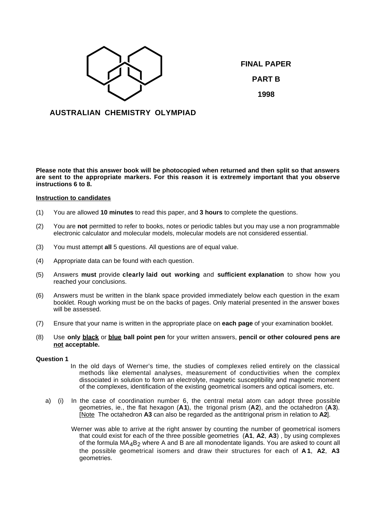

**FINAL PAPER PART B 1998**

# **AUSTRALIAN CHEMISTRY OLYMPIAD**

**Please note that this answer book will be photocopied when returned and then split so that answers are sent to the appropriate markers. For this reason it is extremely important that you observe instructions 6 to 8.**

# **Instruction to candidates**

- (1) You are allowed **10 minutes** to read this paper, and **3 hours** to complete the questions.
- (2) You are **not** permitted to refer to books, notes or periodic tables but you may use a non programmable electronic calculator and molecular models, molecular models are not considered essential.
- (3) You must attempt **all** 5 questions. All questions are of equal value.
- (4) Appropriate data can be found with each question.
- (5) Answers **must** provide **clearly laid out working** and **sufficient explanation** to show how you reached your conclusions.
- (6) Answers must be written in the blank space provided immediately below each question in the exam booklet. Rough working must be on the backs of pages. Only material presented in the answer boxes will be assessed.
- (7) Ensure that your name is written in the appropriate place on **each page** of your examination booklet.
- (8) Use **only black** or **blue ball point pen** for your written answers, **pencil or other coloured pens are not acceptable.**

#### **Question 1**

- In the old days of Werner's time, the studies of complexes relied entirely on the classical methods like elemental analyses, measurement of conductivities when the complex dissociated in solution to form an electrolyte, magnetic susceptibility and magnetic moment of the complexes, identification of the existing geometrical isomers and optical isomers, etc.
- a) (i) In the case of coordination number 6, the central metal atom can adopt three possible geometries, ie., the flat hexagon (**A1**), the trigonal prism (**A2**), and the octahedron (**A3**). [ Note The octahedron **A3** can also be regarded as the antitrigonal prism in relation to **A2**].
	- Werner was able to arrive at the right answer by counting the number of geometrical isomers that could exist for each of the three possible geometries (**A1**, **A2**, **A3**) , by using complexes of the formula  $MA_4B_2$  where A and B are all monodentate ligands. You are asked to count all the possible geometrical isomers and draw their structures for each of **A 1**, **A2**, **A3** geometries.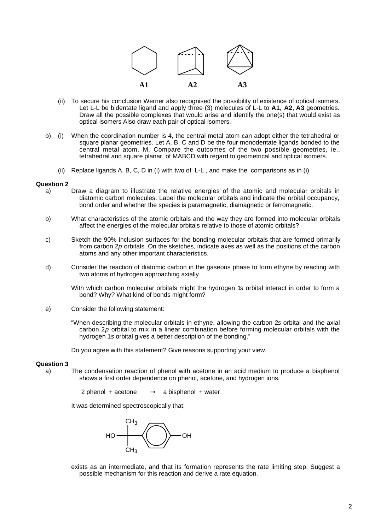

- (ii) To secure his conclusion Werner also recognised the possibility of existence of optical isomers. Let L-L be bidentate ligand and apply three (3) molecules of L-L to **A1**, **A2**, **A3** geometries. Draw all the possible complexes that would arise and identify the one(s) that would exist as optical isomers Also draw each pair of optical isomers.
- b) (i) When the coordination number is 4, the central metal atom can adopt either the tetrahedral or square planar geometries. Let A, B, C and D be the four monodentate ligands bonded to the central metal atom, M. Compare the outcomes of the two possible geometries, ie., tetrahedral and square planar, of MABCD with regard to geometrical and optical isomers.
	- (ii) Replace ligands A, B, C, D in (i) with two of L-L , and make the comparisons as in (i).

## **Question 2**

- a) Draw a diagram to illustrate the relative energies of the atomic and molecular orbitals in diatomic carbon molecules. Label the molecular orbitals and indicate the orbital occupancy, bond order and whether the species is paramagnetic, diamagnetic or ferromagnetic.
- b) What characteristics of the atomic orbitals and the way they are formed into molecular orbitals affect the energies of the molecular orbitals relative to those of atomic orbitals?
- c) Sketch the 90% inclusion surfaces for the bonding molecular orbitals that are formed primarily from carbon 2p orbitals. On the sketches, indicate axes as well as the positions of the carbon atoms and any other important characteristics.
- d) Consider the reaction of diatomic carbon in the gaseous phase to form ethyne by reacting with two atoms of hydrogen approaching axially.

With which carbon molecular orbitals might the hydrogen 1s orbital interact in order to form a bond? Why? What kind of bonds might form?

- e) Consider the following statement:
	- "When describing the molecular orbitals in ethyne, allowing the carbon 2s orbital and the axial carbon  $2p$  orbital to mix in a linear combination before forming molecular orbitals with the hydrogen 1s orbital gives a better description of the bonding."

Do you agree with this statement? Give reasons supporting your view.

#### **Question 3**

a) The condensation reaction of phenol with acetone in an acid medium to produce a bisphenol shows a first order dependence on phenol, acetone, and hydrogen ions.

2 phenol + acetone  $\longrightarrow$  a bisphenol + water

It was determined spectroscopically that;



exists as an intermediate, and that its formation represents the rate limiting step. Suggest a possible mechanism for this reaction and derive a rate equation.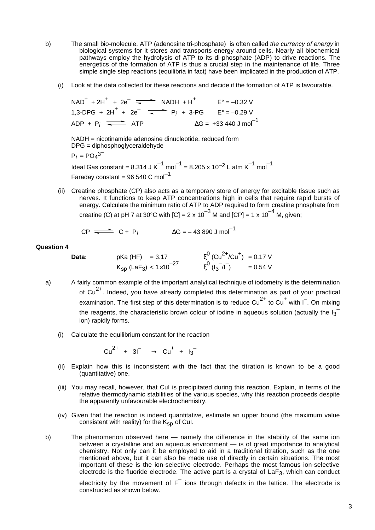- b) The small bio-molecule, ATP (adenosine tri-phosphate) is often called the currency of energy in biological systems for it stores and transports energy around cells. Nearly all biochemical pathways employ the hydrolysis of ATP to its di-phosphate (ADP) to drive reactions. The energetics of the formation of ATP is thus a crucial step in the maintenance of life. Three simple single step reactions (equilibria in fact) have been implicated in the production of ATP.
	- (i) Look at the data collected for these reactions and decide if the formation of ATP is favourable.

 $NAD^{+} + 2H^{+} + 2e^{-} \implies NADH + H^{+} \qquad E^{\circ} = -0.32 \text{ V}$ 1,3-DPG +  $2H^+ + 2e^ \longrightarrow$  P<sub>j</sub> + 3-PG E° = -0.29 V ADP + P<sub>i</sub>  $\overline{\phantom{0}}$  ATP  $\Delta G = +33\,440 \text{ J mol}^{-1}$ 

NADH = nicotinamide adenosine dinucleotide, reduced form DPG = diphosphoglyceraldehyde

 $P_i = PO_4^{3^-}$ 

Ideal Gas constant =  $8.314$  J K<sup>-1</sup> mol<sup>-1</sup> =  $8.205$  x  $10^{-2}$  L atm K<sup>-1</sup> mol<sup>-1</sup> Faraday constant = 96 540 C mol<sup>-1</sup>

(ii) Creatine phosphate (CP) also acts as a temporary store of energy for excitable tissue such as nerves. It functions to keep ATP concentrations high in cells that require rapid bursts of energy. Calculate the minimum ratio of ATP to ADP required to form creatine phosphate from creatine (C) at pH 7 at 30°C with  $|C| = 2 \times 10^{-3}$  M and  $|CP| = 1 \times 10^{-4}$  M, given;

$$
CP \xrightarrow{\longrightarrow} C + P_i \qquad \qquad \Delta G = -43.890 \text{ J mol}^{-1}
$$

## **Question 4**

**Data:** 
$$
pKa(HF) = 3.17
$$
  $\xi^0(Cu^{2+}/Cu^+) = 0.17 V$   
 $K_{sp}(LaF_3) < 1 \times 10^{-27}$   $\xi^0(I_3^{-}/I^-) = 0.54 V$ 

- a) A fairly common example of the important analytical technique of iodometry is the determination of  $Cu<sup>2+</sup>$ . Indeed, you have already completed this determination as part of your practical examination. The first step of this determination is to reduce  $\text{Cu}^{2+}$  to  $\text{Cu}^{+}$  with I<sup>-</sup>. On mixing the reagents, the characteristic brown colour of iodine in aqueous solution (actually the I $_3^$ ion) rapidly forms.
	- (i) Calculate the equilibrium constant for the reaction

$$
Cu^{2+} + 3\bar{1} \longrightarrow Cu^{+} + l_3^{-}
$$

- (ii) Explain how this is inconsistent with the fact that the titration is known to be a good (quantitative) one.
- (iii) You may recall, however, that CuI is precipitated during this reaction. Explain, in terms of the relative thermodynamic stabilities of the various species, why this reaction proceeds despite the apparently unfavourable electrochemistry.
- (iv) Given that the reaction is indeed quantitative, estimate an upper bound (the maximum value consistent with reality) for the  $K_{\text{SD}}$  of Cul.
- b) The phenomenon observed here namely the difference in the stability of the same ion between a crystalline and an aqueous environment — is of great importance to analytical chemistry. Not only can it be employed to aid in a traditional titration, such as the one mentioned above, but it can also be made use of directly in certain situations. The most important of these is the ion-selective electrode. Perhaps the most famous ion-selective electrode is the fluoride electrode. The active part is a crystal of LaF3, which can conduct

electricity by the movement of  $F^{-}$  ions through defects in the lattice. The electrode is constructed as shown below.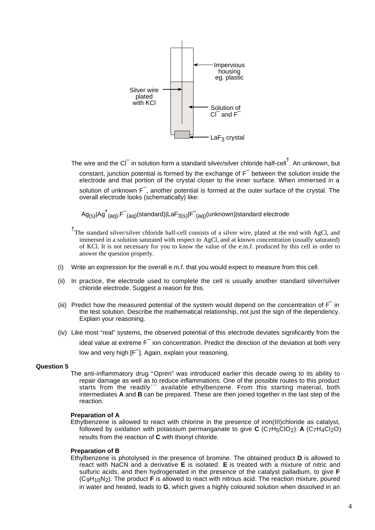

The wire and the CI $^-$  in solution form a standard silver/silver chloride half-cell<sup>†</sup>. An unknown, but constant, junction potential is formed by the exchange of  $F^-$  between the solution inside the electrode and that portion of the crystal closer to the inner surface. When immersed in a solution of unknown F<sup>-</sup>, another potential is formed at the outer surface of the crystal. The overall electrode looks (schematically) like:

 $\mathsf{Ag}_{(\mathsf{s})}$ |Ag $^+_{(\mathsf{aq})},$ F $^-_{(\mathsf{aq})}$ (standard)|LaF $_{3(\mathsf{s})}$ |F $^-_{(\mathsf{aq})}$ (unknown)|standard electrode

- <sup>†</sup>The standard silver/silver chloride half-cell consists of a silver wire, plated at the end with AgCl, and immersed in a solution saturated with respect to AgCl, and at known concentration (usually saturated) of KCl. It is not necessary for you to know the value of the e.m.f. produced by this cell in order to answer the question properly.
- (i) Write an expression for the overall e.m.f. that you would expect to measure from this cell.
- (ii) In practice, the electrode used to complete the cell is usually another standard silver/silver chloride electrode. Suggest a reason for this.
- (iii) Predict how the measured potential of the system would depend on the concentration of  $F^-$  in the test solution. Describe the mathematical relationship, not just the sign of the dependency. Explain your reasoning.
- (iv) Like most "real" systems, the observed potential of this electrode deviates significantly from the ideal value at extreme F $^{\overline{-}}$  ion concentration. Predict the direction of the deviation at both very low and very high [F<sup>-</sup>]. Again, explain your reasoning.

# **Question 5**

The anti-inflammatory drug "Opren" was introduced earlier this decade owing to its ability to repair damage as well as to reduce inflammations. One of the possible routes to this product starts from the readily``` available ethylbenzene. From this starting material, both intermediates **A** and **B** can be prepared. These are then joined together in the last step of the reaction.

# **Preparation of A**

Ethylbenzene is allowed to react with chlorine in the presence of iron(III)chloride as catalyst, followed by oxidation with potassium permanganate to give  $C$  (C<sub>7</sub>H<sub>5</sub>ClO<sub>2</sub>). **A** (C<sub>7</sub>H<sub>4</sub>Cl<sub>2</sub>O) results from the reaction of **C** with thionyl chloride.

# **Preparation of B**

Ethylbenzene is photolysed in the presence of bromine. The obtained product **D** is allowed to react with NaCN and a derivative **E** is isolated. **E** is treated with a mixture of nitric and sulfuric acids, and then hydrogenated in the presence of the catalyst palladium, to give **F** (C9H10N2). The product **F** is allowed to react with nitrous acid. The reaction mixture, poured in water and heated, leads to **G**, which gives a highly coloured solution when dissolved in an